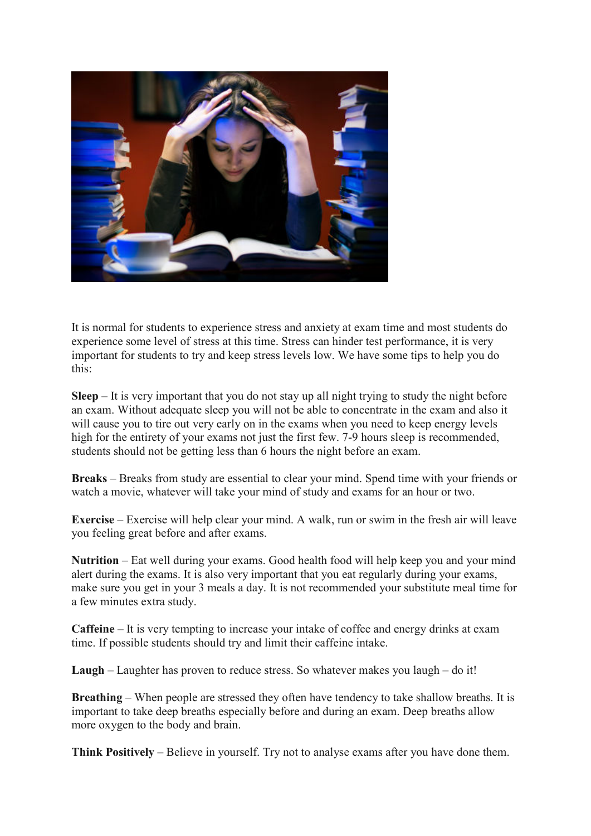

It is normal for students to experience stress and anxiety at exam time and most students do experience some level of stress at this time. Stress can hinder test performance, it is very important for students to try and keep stress levels low. We have some tips to help you do this:

**Sleep** – It is very important that you do not stay up all night trying to study the night before an exam. Without adequate sleep you will not be able to concentrate in the exam and also it will cause you to tire out very early on in the exams when you need to keep energy levels high for the entirety of your exams not just the first few. 7-9 hours sleep is recommended, students should not be getting less than 6 hours the night before an exam.

**Breaks** – Breaks from study are essential to clear your mind. Spend time with your friends or watch a movie, whatever will take your mind of study and exams for an hour or two.

**Exercise** – Exercise will help clear your mind. A walk, run or swim in the fresh air will leave you feeling great before and after exams.

**Nutrition** – Eat well during your exams. Good health food will help keep you and your mind alert during the exams. It is also very important that you eat regularly during your exams, make sure you get in your 3 meals a day. It is not recommended your substitute meal time for a few minutes extra study.

**Caffeine** – It is very tempting to increase your intake of coffee and energy drinks at exam time. If possible students should try and limit their caffeine intake.

**Laugh** – Laughter has proven to reduce stress. So whatever makes you laugh – do it!

**Breathing** – When people are stressed they often have tendency to take shallow breaths. It is important to take deep breaths especially before and during an exam. Deep breaths allow more oxygen to the body and brain.

**Think Positively** – Believe in yourself. Try not to analyse exams after you have done them.